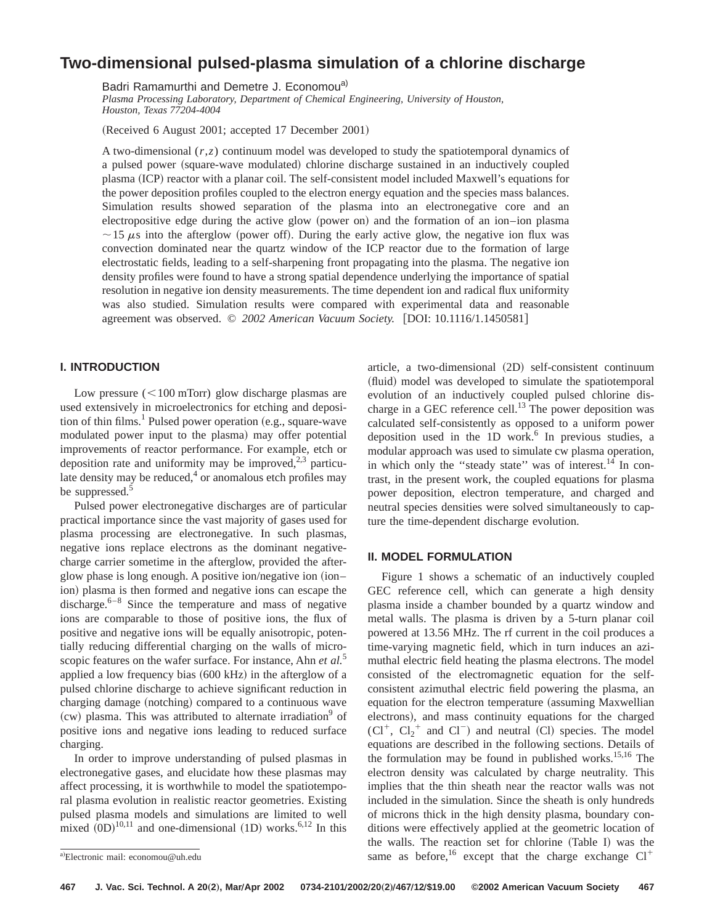# **Two-dimensional pulsed-plasma simulation of a chlorine discharge**

Badri Ramamurthi and Demetre J. Economou<sup>a)</sup>

*Plasma Processing Laboratory, Department of Chemical Engineering, University of Houston, Houston, Texas 77204-4004*

(Received 6 August 2001; accepted 17 December 2001)

A two-dimensional (*r*,*z*) continuum model was developed to study the spatiotemporal dynamics of a pulsed power (square-wave modulated) chlorine discharge sustained in an inductively coupled plasma (ICP) reactor with a planar coil. The self-consistent model included Maxwell's equations for the power deposition profiles coupled to the electron energy equation and the species mass balances. Simulation results showed separation of the plasma into an electronegative core and an electropositive edge during the active glow (power on) and the formation of an ion–ion plasma  $\sim$  15  $\mu$ s into the afterglow (power off). During the early active glow, the negative ion flux was convection dominated near the quartz window of the ICP reactor due to the formation of large electrostatic fields, leading to a self-sharpening front propagating into the plasma. The negative ion density profiles were found to have a strong spatial dependence underlying the importance of spatial resolution in negative ion density measurements. The time dependent ion and radical flux uniformity was also studied. Simulation results were compared with experimental data and reasonable agreement was observed. © 2002 American Vacuum Society. [DOI: 10.1116/1.1450581]

# **I. INTRODUCTION**

Low pressure  $(<100$  mTorr) glow discharge plasmas are used extensively in microelectronics for etching and deposition of thin films.<sup>1</sup> Pulsed power operation (e.g., square-wave modulated power input to the plasma) may offer potential improvements of reactor performance. For example, etch or deposition rate and uniformity may be improved, $2,3$  particulate density may be reduced, $4$  or anomalous etch profiles may be suppressed.<sup>5</sup>

Pulsed power electronegative discharges are of particular practical importance since the vast majority of gases used for plasma processing are electronegative. In such plasmas, negative ions replace electrons as the dominant negativecharge carrier sometime in the afterglow, provided the afterglow phase is long enough. A positive ion/negative ion (ion– ion) plasma is then formed and negative ions can escape the discharge. $6-8$  Since the temperature and mass of negative ions are comparable to those of positive ions, the flux of positive and negative ions will be equally anisotropic, potentially reducing differential charging on the walls of microscopic features on the wafer surface. For instance, Ahn *et al.*<sup>5</sup> applied a low frequency bias  $(600 \text{ kHz})$  in the afterglow of a pulsed chlorine discharge to achieve significant reduction in charging damage (notching) compared to a continuous wave  $(cw)$  plasma. This was attributed to alternate irradiation<sup>9</sup> of positive ions and negative ions leading to reduced surface charging.

In order to improve understanding of pulsed plasmas in electronegative gases, and elucidate how these plasmas may affect processing, it is worthwhile to model the spatiotemporal plasma evolution in realistic reactor geometries. Existing pulsed plasma models and simulations are limited to well mixed  $(DD)^{10,11}$  and one-dimensional (1D) works.<sup>6,12</sup> In this article, a two-dimensional (2D) self-consistent continuum ~fluid! model was developed to simulate the spatiotemporal evolution of an inductively coupled pulsed chlorine discharge in a GEC reference cell.<sup>13</sup> The power deposition was calculated self-consistently as opposed to a uniform power deposition used in the  $1D$  work.<sup>6</sup> In previous studies, a modular approach was used to simulate cw plasma operation, in which only the "steady state" was of interest. $^{14}$  In contrast, in the present work, the coupled equations for plasma power deposition, electron temperature, and charged and neutral species densities were solved simultaneously to capture the time-dependent discharge evolution.

## **II. MODEL FORMULATION**

Figure 1 shows a schematic of an inductively coupled GEC reference cell, which can generate a high density plasma inside a chamber bounded by a quartz window and metal walls. The plasma is driven by a 5-turn planar coil powered at 13.56 MHz. The rf current in the coil produces a time-varying magnetic field, which in turn induces an azimuthal electric field heating the plasma electrons. The model consisted of the electromagnetic equation for the selfconsistent azimuthal electric field powering the plasma, an equation for the electron temperature (assuming Maxwellian electrons), and mass continuity equations for the charged  $(Cl^+$ ,  $Cl_2^+$  and  $Cl^-$ ) and neutral (Cl) species. The model equations are described in the following sections. Details of the formulation may be found in published works.<sup>15,16</sup> The electron density was calculated by charge neutrality. This implies that the thin sheath near the reactor walls was not included in the simulation. Since the sheath is only hundreds of microns thick in the high density plasma, boundary conditions were effectively applied at the geometric location of the walls. The reaction set for chlorine  $(Table I)$  was the  $\overline{a}$ Electronic mail: economou@uh.edu<br>
Same as before,  $\overline{16}$  except that the charge exchange Cl<sup>+</sup>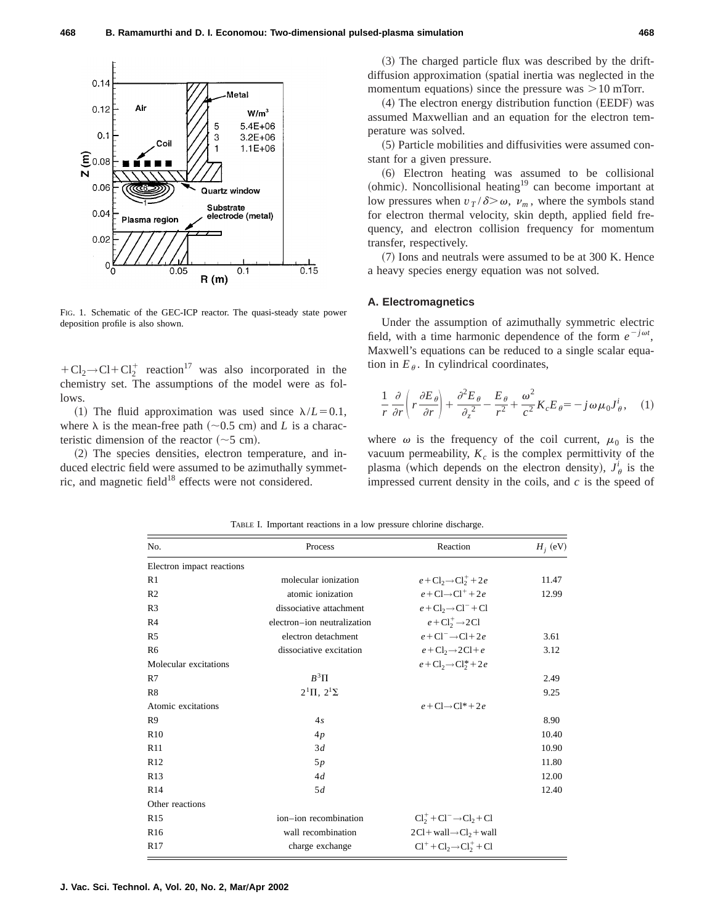

FIG. 1. Schematic of the GEC-ICP reactor. The quasi-steady state power deposition profile is also shown.

 $+Cl_2 \rightarrow Cl + Cl_2^+$  reaction<sup>17</sup> was also incorporated in the chemistry set. The assumptions of the model were as follows.

(1) The fluid approximation was used since  $\lambda/L = 0.1$ , where  $\lambda$  is the mean-free path ( $\sim$ 0.5 cm) and *L* is a characteristic dimension of the reactor  $({\sim}5 \text{ cm})$ .

(2) The species densities, electron temperature, and induced electric field were assumed to be azimuthally symmetric, and magnetic field $18$  effects were not considered.

 $(3)$  The charged particle flux was described by the driftdiffusion approximation (spatial inertia was neglected in the momentum equations) since the pressure was  $>10$  mTorr.

 $(4)$  The electron energy distribution function  $(EEDF)$  was assumed Maxwellian and an equation for the electron temperature was solved.

~5! Particle mobilities and diffusivities were assumed constant for a given pressure.

~6! Electron heating was assumed to be collisional (ohmic). Noncollisional heating<sup>19</sup> can become important at low pressures when  $v_T / \delta > \omega$ ,  $v_m$ , where the symbols stand for electron thermal velocity, skin depth, applied field frequency, and electron collision frequency for momentum transfer, respectively.

 $(7)$  Ions and neutrals were assumed to be at 300 K. Hence a heavy species energy equation was not solved.

#### **A. Electromagnetics**

Under the assumption of azimuthally symmetric electric field, with a time harmonic dependence of the form  $e^{-j\omega t}$ , Maxwell's equations can be reduced to a single scalar equation in  $E_{\theta}$ . In cylindrical coordinates,

$$
\frac{1}{r}\frac{\partial}{\partial r}\left(r\frac{\partial E_{\theta}}{\partial r}\right) + \frac{\partial^2 E_{\theta}}{\partial_z^2} - \frac{E_{\theta}}{r^2} + \frac{\omega^2}{c^2}K_c E_{\theta} = -j\omega\mu_0 J^i_{\theta}, \quad (1)
$$

where  $\omega$  is the frequency of the coil current,  $\mu_0$  is the vacuum permeability,  $K_c$  is the complex permittivity of the plasma (which depends on the electron density),  $J^i_{\theta}$  is the impressed current density in the coils, and *c* is the speed of

| No.                       | Process                     | Reaction                                             | $H_i$ (eV) |
|---------------------------|-----------------------------|------------------------------------------------------|------------|
| Electron impact reactions |                             |                                                      |            |
| R1                        | molecular ionization        | $e + \mathrm{Cl}_2 \rightarrow \mathrm{Cl}_2^+ + 2e$ | 11.47      |
| R <sub>2</sub>            | atomic ionization           | $e + Cl \rightarrow Cl^+ + 2e$                       | 12.99      |
| R <sub>3</sub>            | dissociative attachment     | $e + Cl_2 \rightarrow Cl^- + Cl$                     |            |
| R <sub>4</sub>            | electron-ion neutralization | $e + Cl_2^+ \rightarrow 2Cl$                         |            |
| R <sub>5</sub>            | electron detachment         | $e + Cl^- \rightarrow Cl + 2e$                       | 3.61       |
| R <sub>6</sub>            | dissociative excitation     | $e + Cl_2 \rightarrow 2Cl + e$                       | 3.12       |
| Molecular excitations     |                             | $e + Cl_2 \rightarrow Cl_2^* + 2e$                   |            |
| R7                        | $B^3\Pi$                    |                                                      | 2.49       |
| R8                        | $2^{1}\Pi$ , $2^{1}\Sigma$  |                                                      | 9.25       |
| Atomic excitations        |                             | $e + C1 \rightarrow C1^* + 2e$                       |            |
| R <sub>9</sub>            | 4s                          |                                                      | 8.90       |
| R10                       | 4p                          |                                                      | 10.40      |
| R11                       | 3d                          |                                                      | 10.90      |
| R12                       | 5p                          |                                                      | 11.80      |
| R13                       | 4d                          |                                                      | 12.00      |
| R14                       | 5d                          |                                                      | 12.40      |
| Other reactions           |                             |                                                      |            |
| R <sub>15</sub>           | ion-ion recombination       | $Cl2+ + Cl- \rightarrow Cl2 + Cl$                    |            |
| R <sub>16</sub>           | wall recombination          | $2Cl + wall \rightarrow Cl_2 + wall$                 |            |
| R17                       | charge exchange             | $Cl^+ + Cl_2 \rightarrow Cl_2^+ + Cl$                |            |

TABLE I. Important reactions in a low pressure chlorine discharge.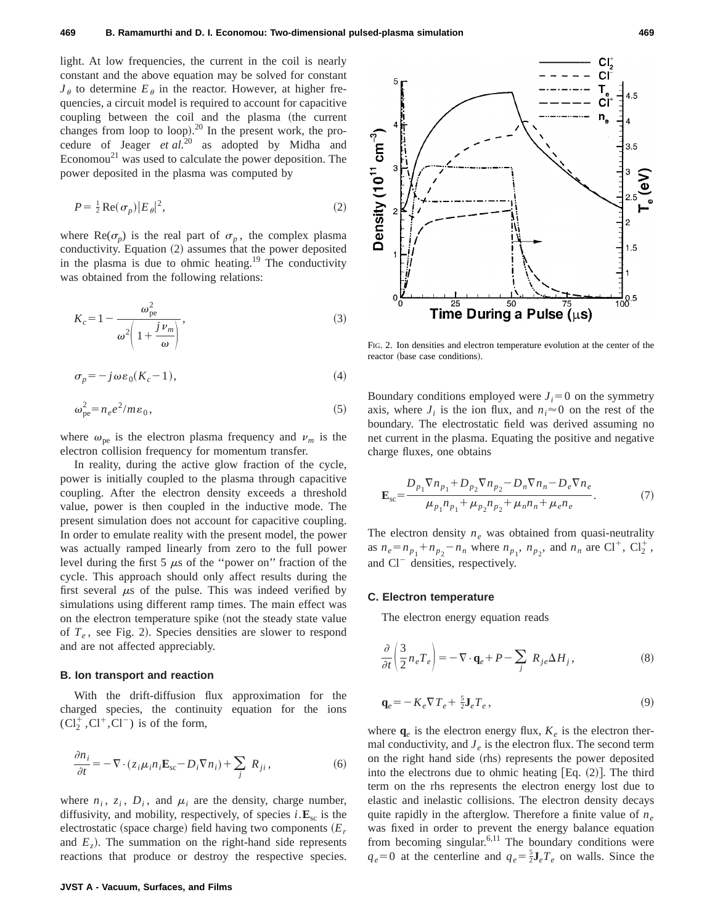light. At low frequencies, the current in the coil is nearly constant and the above equation may be solved for constant  $J_{\theta}$  to determine  $E_{\theta}$  in the reactor. However, at higher frequencies, a circuit model is required to account for capacitive coupling between the coil and the plasma (the current changes from loop to loop). $^{20}$  In the present work, the procedure of Jeager *et al.*<sup>20</sup> as adopted by Midha and Economou<sup>21</sup> was used to calculate the power deposition. The power deposited in the plasma was computed by

$$
P = \frac{1}{2} \operatorname{Re}(\sigma_p) |E_{\theta}|^2,\tag{2}
$$

where  $\text{Re}(\sigma_p)$  is the real part of  $\sigma_p$ , the complex plasma conductivity. Equation  $(2)$  assumes that the power deposited in the plasma is due to ohmic heating.<sup>19</sup> The conductivity was obtained from the following relations:

$$
K_c = 1 - \frac{\omega_{pe}^2}{\omega^2 \left(1 + \frac{j \nu_m}{\omega}\right)},
$$
\n(3)

$$
\sigma_p = -j\omega\varepsilon_0(K_c - 1),\tag{4}
$$

$$
\omega_{\rm pe}^2 = n_e e^2 / m \varepsilon_0,\tag{5}
$$

where  $\omega_{pe}$  is the electron plasma frequency and  $\nu_m$  is the electron collision frequency for momentum transfer.

In reality, during the active glow fraction of the cycle, power is initially coupled to the plasma through capacitive coupling. After the electron density exceeds a threshold value, power is then coupled in the inductive mode. The present simulation does not account for capacitive coupling. In order to emulate reality with the present model, the power was actually ramped linearly from zero to the full power level during the first 5  $\mu$ s of the "power on" fraction of the cycle. This approach should only affect results during the first several  $\mu$ s of the pulse. This was indeed verified by simulations using different ramp times. The main effect was on the electron temperature spike (not the steady state value of  $T_e$ , see Fig. 2). Species densities are slower to respond and are not affected appreciably.

#### **B. Ion transport and reaction**

With the drift-diffusion flux approximation for the charged species, the continuity equation for the ions  $(Cl_2^+, Cl^+, Cl^-)$  is of the form,

$$
\frac{\partial n_i}{\partial t} = -\nabla \cdot (z_i \mu_i n_i \mathbf{E}_{\rm sc} - D_i \nabla n_i) + \sum_j R_{ji},\tag{6}
$$

where  $n_i$ ,  $z_i$ ,  $D_i$ , and  $\mu_i$  are the density, charge number, diffusivity, and mobility, respectively, of species  $i \text{.} \mathbf{E}_{\text{sc}}$  is the electrostatic (space charge) field having two components  $(E_r)$ and  $E_z$ ). The summation on the right-hand side represents reactions that produce or destroy the respective species.



FIG. 2. Ion densities and electron temperature evolution at the center of the reactor (base case conditions).

Boundary conditions employed were  $J_i=0$  on the symmetry axis, where  $J_i$  is the ion flux, and  $n_i \approx 0$  on the rest of the boundary. The electrostatic field was derived assuming no net current in the plasma. Equating the positive and negative charge fluxes, one obtains

$$
\mathbf{E}_{sc} = \frac{D_{p_1} \nabla n_{p_1} + D_{p_2} \nabla n_{p_2} - D_n \nabla n_n - D_e \nabla n_e}{\mu_{p_1} n_{p_1} + \mu_{p_2} n_{p_2} + \mu_n n_n + \mu_e n_e}.
$$
(7)

The electron density  $n_e$  was obtained from quasi-neutrality as  $n_e = n_{p_1} + n_{p_2} - n_n$  where  $n_{p_1}$ ,  $n_{p_2}$ , and  $n_n$  are Cl<sup>+</sup>, Cl<sub>2</sub><sup>+</sup>, and  $Cl^-$  densities, respectively.

#### **C. Electron temperature**

The electron energy equation reads

$$
\frac{\partial}{\partial t} \left( \frac{3}{2} n_e T_e \right) = -\nabla \cdot \mathbf{q}_e + P - \sum_j R_{je} \Delta H_j, \tag{8}
$$

$$
\mathbf{q}_e = -K_e \nabla T_e + \frac{5}{2} \mathbf{J}_e T_e \,,\tag{9}
$$

where  $q_e$  is the electron energy flux,  $K_e$  is the electron thermal conductivity, and  $J_e$  is the electron flux. The second term on the right hand side (rhs) represents the power deposited into the electrons due to ohmic heating  $[Eq. (2)]$ . The third term on the rhs represents the electron energy lost due to elastic and inelastic collisions. The electron density decays quite rapidly in the afterglow. Therefore a finite value of *ne* was fixed in order to prevent the energy balance equation from becoming singular. $6,11$  The boundary conditions were  $q_e = 0$  at the centerline and  $q_e = \frac{5}{2} \mathbf{J}_e T_e$  on walls. Since the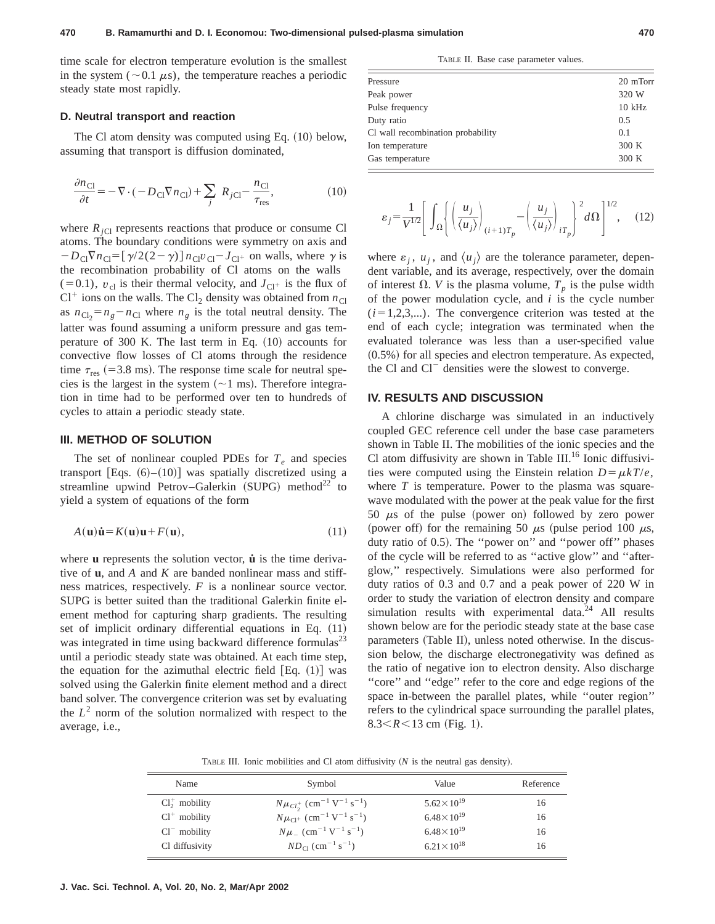time scale for electron temperature evolution is the smallest in the system ( $\sim$  0.1  $\mu$ s), the temperature reaches a periodic steady state most rapidly.

#### **D. Neutral transport and reaction**

The Cl atom density was computed using Eq.  $(10)$  below, assuming that transport is diffusion dominated,

$$
\frac{\partial n_{\text{Cl}}}{\partial t} = -\nabla \cdot (-D_{\text{Cl}} \nabla n_{\text{Cl}}) + \sum_{j} R_{j\text{Cl}} - \frac{n_{\text{Cl}}}{\tau_{\text{res}}},\tag{10}
$$

where  $R_{iCl}$  represents reactions that produce or consume Cl atoms. The boundary conditions were symmetry on axis and  $-D_{\text{Cl}}\nabla n_{\text{Cl}} = [\gamma/2(2-\gamma)] n_{\text{Cl}}v_{\text{Cl}} - J_{\text{Cl}^+}$  on walls, where  $\gamma$  is the recombination probability of Cl atoms on the walls  $(0,1)$ ,  $v_{\text{cl}}$  is their thermal velocity, and  $J_{\text{Cl}^+}$  is the flux of  $Cl^+$  ions on the walls. The  $Cl_2$  density was obtained from  $n_{Cl}$ as  $n_{\text{Cl}_2} = n_g - n_{\text{Cl}}$  where  $n_g$  is the total neutral density. The latter was found assuming a uniform pressure and gas temperature of 300 K. The last term in Eq.  $(10)$  accounts for convective flow losses of Cl atoms through the residence time  $\tau_{res}$  (=3.8 ms). The response time scale for neutral species is the largest in the system  $(\sim 1 \text{ ms})$ . Therefore integration in time had to be performed over ten to hundreds of cycles to attain a periodic steady state.

#### **III. METHOD OF SOLUTION**

The set of nonlinear coupled PDEs for  $T_e$  and species transport [Eqs.  $(6)–(10)$ ] was spatially discretized using a streamline upwind Petrov–Galerkin  $(SUPG)$  method<sup>22</sup> to yield a system of equations of the form

$$
A(\mathbf{u})\dot{\mathbf{u}} = K(\mathbf{u})\mathbf{u} + F(\mathbf{u}),\tag{11}
$$

where **u** represents the solution vector, **u** is the time derivative of **u**, and *A* and *K* are banded nonlinear mass and stiffness matrices, respectively. *F* is a nonlinear source vector. SUPG is better suited than the traditional Galerkin finite element method for capturing sharp gradients. The resulting set of implicit ordinary differential equations in Eq.  $(11)$ was integrated in time using backward difference formulas $^{23}$ until a periodic steady state was obtained. At each time step, the equation for the azimuthal electric field  $[Eq. (1)]$  was solved using the Galerkin finite element method and a direct band solver. The convergence criterion was set by evaluating the  $L^2$  norm of the solution normalized with respect to the average, i.e.,

TABLE II. Base case parameter values.

| Pressure                          | 20 mTorr |
|-----------------------------------|----------|
| Peak power                        | 320 W    |
| Pulse frequency                   | $10$ kHz |
| Duty ratio                        | 0.5      |
| Cl wall recombination probability | 0.1      |
| Ion temperature                   | 300 K    |
| Gas temperature                   | 300 K    |
|                                   |          |

$$
\varepsilon_j = \frac{1}{V^{1/2}} \left[ \int_{\Omega} \left\{ \left( \frac{u_j}{\langle u_j \rangle} \right)_{(i+1)T_p} - \left( \frac{u_j}{\langle u_j \rangle} \right)_{iT_p} \right\}^2 d\Omega \right]^{1/2}, \quad (12)
$$

where  $\varepsilon_i$ ,  $u_j$ , and  $\langle u_j \rangle$  are the tolerance parameter, dependent variable, and its average, respectively, over the domain of interest  $\Omega$ . *V* is the plasma volume,  $T_p$  is the pulse width of the power modulation cycle, and *i* is the cycle number  $(i=1,2,3,...)$ . The convergence criterion was tested at the end of each cycle; integration was terminated when the evaluated tolerance was less than a user-specified value  $(0.5\%)$  for all species and electron temperature. As expected, the Cl and  $Cl<sup>-</sup>$  densities were the slowest to converge.

## **IV. RESULTS AND DISCUSSION**

A chlorine discharge was simulated in an inductively coupled GEC reference cell under the base case parameters shown in Table II. The mobilities of the ionic species and the Cl atom diffusivity are shown in Table III.<sup>16</sup> Ionic diffusivities were computed using the Einstein relation  $D = \mu kT/e$ , where *T* is temperature. Power to the plasma was squarewave modulated with the power at the peak value for the first 50  $\mu$ s of the pulse (power on) followed by zero power (power off) for the remaining 50  $\mu$ s (pulse period 100  $\mu$ s, duty ratio of 0.5). The "power on" and "power off" phases of the cycle will be referred to as ''active glow'' and ''afterglow,'' respectively. Simulations were also performed for duty ratios of 0.3 and 0.7 and a peak power of 220 W in order to study the variation of electron density and compare simulation results with experimental data.<sup>24</sup> All results shown below are for the periodic steady state at the base case parameters (Table II), unless noted otherwise. In the discussion below, the discharge electronegativity was defined as the ratio of negative ion to electron density. Also discharge "core" and "edge" refer to the core and edge regions of the space in-between the parallel plates, while ''outer region'' refers to the cylindrical space surrounding the parallel plates,  $8.3 < R < 13$  cm (Fig. 1).

TABLE III. Ionic mobilities and Cl atom diffusivity  $(N$  is the neutral gas density).

| Name              | Symbol                                                                  | Value                 | Reference |
|-------------------|-------------------------------------------------------------------------|-----------------------|-----------|
| $Cl_2^+$ mobility | $N\mu_{Cl_2^+}$ (cm <sup>-1</sup> V <sup>-1</sup> s <sup>-1</sup> )     | $5.62 \times 10^{19}$ | 16        |
| $Cl^+$ mobility   | $N\mu_{C1}$ + (cm <sup>-1</sup> V <sup>-1</sup> s <sup>-1</sup> )       | $6.48 \times 10^{19}$ | 16        |
| $Cl^-$ mobility   | $N\mu$ <sub>-</sub> (cm <sup>-1</sup> V <sup>-1</sup> s <sup>-1</sup> ) | $6.48 \times 10^{19}$ | 16        |
| Cl diffusivity    | $ND_{C1}$ (cm <sup>-1</sup> s <sup>-1</sup> )                           | $6.21 \times 10^{18}$ | 16        |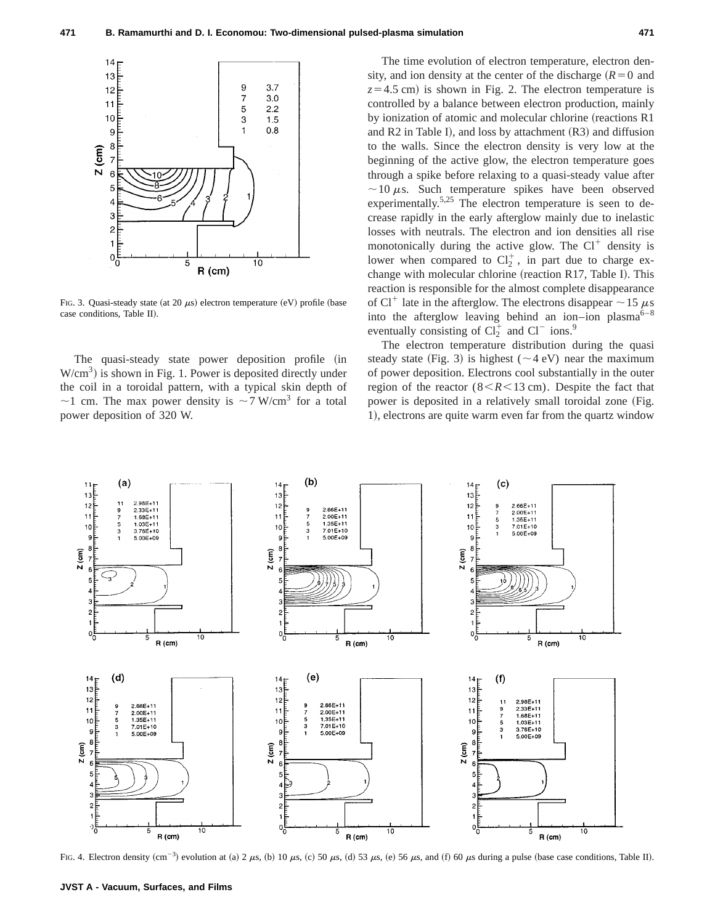

FIG. 3. Quasi-steady state (at 20  $\mu$ s) electron temperature (eV) profile (base case conditions, Table II).

The quasi-steady state power deposition profile (in  $W/cm<sup>3</sup>$ ) is shown in Fig. 1. Power is deposited directly under the coil in a toroidal pattern, with a typical skin depth of  $\sim$ 1 cm. The max power density is  $\sim$  7 W/cm<sup>3</sup> for a total power deposition of 320 W.

The time evolution of electron temperature, electron density, and ion density at the center of the discharge  $(R=0)$  and  $z=4.5$  cm) is shown in Fig. 2. The electron temperature is controlled by a balance between electron production, mainly by ionization of atomic and molecular chlorine (reactions R1 and  $R2$  in Table I), and loss by attachment  $(R3)$  and diffusion to the walls. Since the electron density is very low at the beginning of the active glow, the electron temperature goes through a spike before relaxing to a quasi-steady value after  $\sim$ 10  $\mu$ s. Such temperature spikes have been observed experimentally.<sup>5,25</sup> The electron temperature is seen to decrease rapidly in the early afterglow mainly due to inelastic losses with neutrals. The electron and ion densities all rise monotonically during the active glow. The  $Cl^+$  density is lower when compared to  $Cl_2^+$ , in part due to charge exchange with molecular chlorine (reaction R17, Table I). This reaction is responsible for the almost complete disappearance of Cl<sup>+</sup> late in the afterglow. The electrons disappear  $\sim$  15  $\mu$ s into the afterglow leaving behind an ion–ion plasma $6-8$ eventually consisting of  $Cl_2^+$  and  $Cl^-$  ions.<sup>9</sup>

The electron temperature distribution during the quasi steady state (Fig. 3) is highest ( $\sim$ 4 eV) near the maximum of power deposition. Electrons cool substantially in the outer region of the reactor  $(8 < R < 13$  cm). Despite the fact that power is deposited in a relatively small toroidal zone (Fig. 1), electrons are quite warm even far from the quartz window



FIG. 4. Electron density  $(cm^{-3})$  evolution at (a) 2  $\mu$ s, (b) 10  $\mu$ s, (c) 50  $\mu$ s, (d) 53  $\mu$ s, (e) 56  $\mu$ s, and (f) 60  $\mu$ s during a pulse (base case conditions, Table II).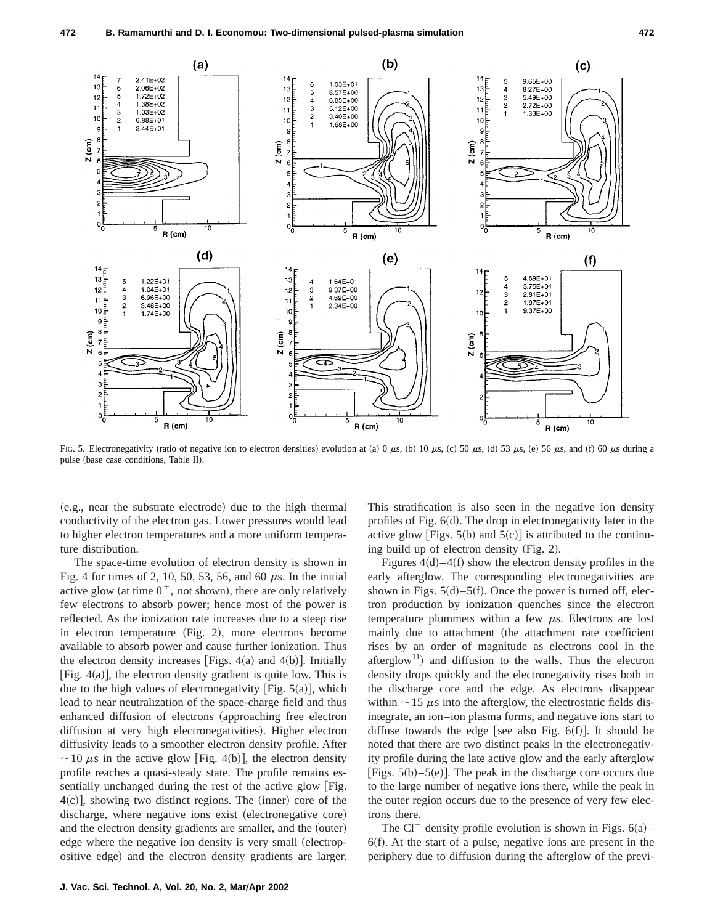

FIG. 5. Electronegativity (ratio of negative ion to electron densities) evolution at (a) 0  $\mu$ s, (b) 10  $\mu$ s, (c) 50  $\mu$ s, (d) 53  $\mu$ s, (e) 56  $\mu$ s, and (f) 60  $\mu$ s during a pulse (base case conditions, Table II).

(e.g., near the substrate electrode) due to the high thermal conductivity of the electron gas. Lower pressures would lead to higher electron temperatures and a more uniform temperature distribution.

The space-time evolution of electron density is shown in Fig. 4 for times of 2, 10, 50, 53, 56, and 60  $\mu$ s. In the initial active glow (at time  $0^+$ , not shown), there are only relatively few electrons to absorb power; hence most of the power is reflected. As the ionization rate increases due to a steep rise in electron temperature  $(Fig. 2)$ , more electrons become available to absorb power and cause further ionization. Thus the electron density increases [Figs.  $4(a)$  and  $4(b)$ ]. Initially [Fig.  $4(a)$ ], the electron density gradient is quite low. This is due to the high values of electronegativity [Fig.  $5(a)$ ], which lead to near neutralization of the space-charge field and thus enhanced diffusion of electrons (approaching free electron diffusion at very high electronegativities). Higher electron diffusivity leads to a smoother electron density profile. After  $\sim$  10  $\mu$ s in the active glow [Fig. 4(b)], the electron density profile reaches a quasi-steady state. The profile remains essentially unchanged during the rest of the active glow [Fig.  $4(c)$ , showing two distinct regions. The (inner) core of the discharge, where negative ions exist (electronegative core) and the electron density gradients are smaller, and the (outer) edge where the negative ion density is very small (electropositive edge) and the electron density gradients are larger. This stratification is also seen in the negative ion density profiles of Fig.  $6(d)$ . The drop in electronegativity later in the active glow  $\text{Figs. } 5(b)$  and  $5(c)$  is attributed to the continuing build up of electron density  $(Fig. 2)$ .

Figures  $4(d)$ – $4(f)$  show the electron density profiles in the early afterglow. The corresponding electronegativities are shown in Figs.  $5(d) - 5(f)$ . Once the power is turned off, electron production by ionization quenches since the electron temperature plummets within a few  $\mu$ s. Electrons are lost mainly due to attachment (the attachment rate coefficient rises by an order of magnitude as electrons cool in the afterglow<sup>11</sup>) and diffusion to the walls. Thus the electron density drops quickly and the electronegativity rises both in the discharge core and the edge. As electrons disappear within  $\sim$  15  $\mu$ s into the afterglow, the electrostatic fields disintegrate, an ion–ion plasma forms, and negative ions start to diffuse towards the edge [see also Fig.  $6(f)$ ]. It should be noted that there are two distinct peaks in the electronegativity profile during the late active glow and the early afterglow [Figs.  $5(b)$ – $5(e)$ ]. The peak in the discharge core occurs due to the large number of negative ions there, while the peak in the outer region occurs due to the presence of very few electrons there.

The Cl<sup>-</sup> density profile evolution is shown in Figs.  $6(a)$ –  $6(f)$ . At the start of a pulse, negative ions are present in the periphery due to diffusion during the afterglow of the previ-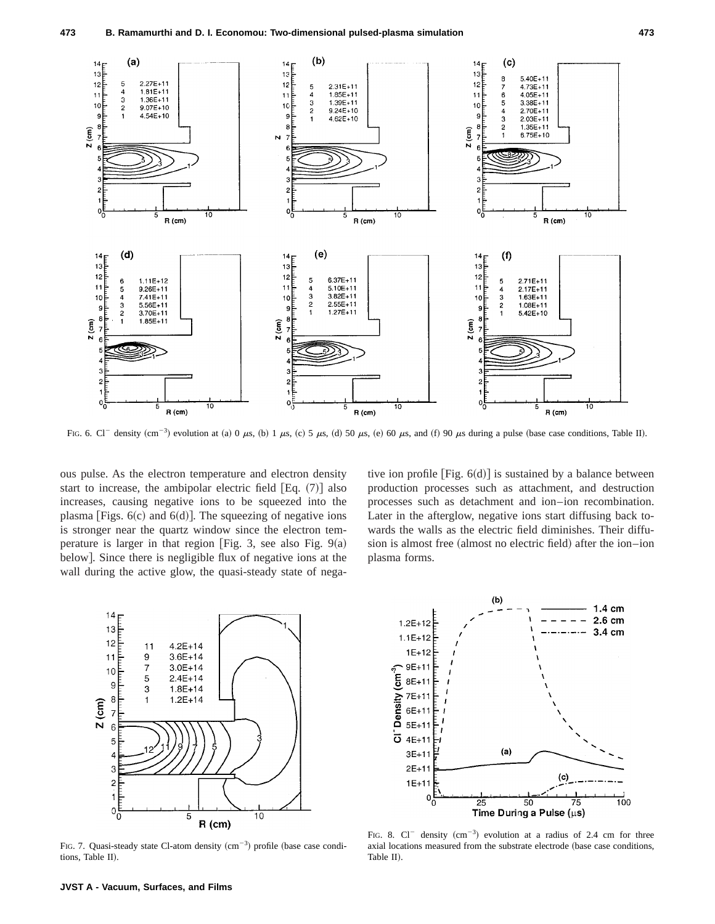

FIG. 6. Cl<sup>-</sup> density (cm<sup>-3</sup>) evolution at (a) 0  $\mu$ s, (b) 1  $\mu$ s, (c) 5  $\mu$ s, (d) 50  $\mu$ s, (e) 60  $\mu$ s, and (f) 90  $\mu$ s during a pulse (base case conditions, Table II).

ous pulse. As the electron temperature and electron density start to increase, the ambipolar electric field  $[Eq. (7)]$  also increases, causing negative ions to be squeezed into the plasma [Figs.  $6(c)$  and  $6(d)$ ]. The squeezing of negative ions is stronger near the quartz window since the electron temperature is larger in that region [Fig. 3, see also Fig.  $9(a)$ ] below]. Since there is negligible flux of negative ions at the wall during the active glow, the quasi-steady state of negative ion profile [Fig.  $6(d)$ ] is sustained by a balance between production processes such as attachment, and destruction processes such as detachment and ion–ion recombination. Later in the afterglow, negative ions start diffusing back towards the walls as the electric field diminishes. Their diffusion is almost free (almost no electric field) after the ion–ion plasma forms.



FIG. 7. Quasi-steady state Cl-atom density  $(cm<sup>-3</sup>)$  profile (base case conditions, Table II).



FIG. 8.  $Cl^-$  density  $(cm^{-3})$  evolution at a radius of 2.4 cm for three axial locations measured from the substrate electrode (base case conditions, Table II).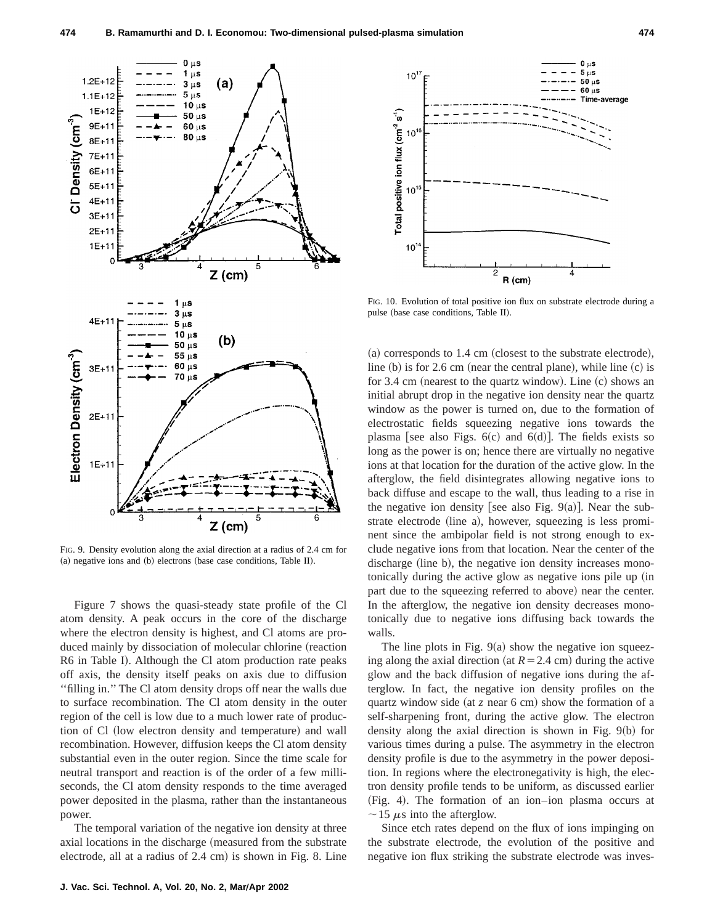

FIG. 9. Density evolution along the axial direction at a radius of 2.4 cm for  $(a)$  negative ions and  $(b)$  electrons (base case conditions, Table II).

Figure 7 shows the quasi-steady state profile of the Cl atom density. A peak occurs in the core of the discharge where the electron density is highest, and Cl atoms are produced mainly by dissociation of molecular chlorine (reaction R6 in Table I). Although the Cl atom production rate peaks off axis, the density itself peaks on axis due to diffusion ''filling in.'' The Cl atom density drops off near the walls due to surface recombination. The Cl atom density in the outer region of the cell is low due to a much lower rate of production of Cl (low electron density and temperature) and wall recombination. However, diffusion keeps the Cl atom density substantial even in the outer region. Since the time scale for neutral transport and reaction is of the order of a few milliseconds, the Cl atom density responds to the time averaged power deposited in the plasma, rather than the instantaneous power.

The temporal variation of the negative ion density at three axial locations in the discharge (measured from the substrate electrode, all at a radius of  $2.4 \text{ cm}$  is shown in Fig. 8. Line



FIG. 10. Evolution of total positive ion flux on substrate electrode during a pulse (base case conditions, Table II).

 $(a)$  corresponds to 1.4 cm (closest to the substrate electrode), line  $(b)$  is for 2.6 cm (near the central plane), while line  $(c)$  is for 3.4 cm (nearest to the quartz window). Line  $(c)$  shows an initial abrupt drop in the negative ion density near the quartz window as the power is turned on, due to the formation of electrostatic fields squeezing negative ions towards the plasma [see also Figs.  $6(c)$  and  $6(d)$ ]. The fields exists so long as the power is on; hence there are virtually no negative ions at that location for the duration of the active glow. In the afterglow, the field disintegrates allowing negative ions to back diffuse and escape to the wall, thus leading to a rise in the negative ion density [see also Fig. 9(a)]. Near the substrate electrode (line a), however, squeezing is less prominent since the ambipolar field is not strong enough to exclude negative ions from that location. Near the center of the discharge (line b), the negative ion density increases monotonically during the active glow as negative ions pile up (in part due to the squeezing referred to above) near the center. In the afterglow, the negative ion density decreases monotonically due to negative ions diffusing back towards the walls.

The line plots in Fig.  $9(a)$  show the negative ion squeezing along the axial direction (at  $R = 2.4$  cm) during the active glow and the back diffusion of negative ions during the afterglow. In fact, the negative ion density profiles on the quartz window side (at  $\zeta$  near 6 cm) show the formation of a self-sharpening front, during the active glow. The electron density along the axial direction is shown in Fig.  $9(b)$  for various times during a pulse. The asymmetry in the electron density profile is due to the asymmetry in the power deposition. In regions where the electronegativity is high, the electron density profile tends to be uniform, as discussed earlier  $(Fig. 4)$ . The formation of an ion-ion plasma occurs at  $\sim$ 15  $\mu$ s into the afterglow.

Since etch rates depend on the flux of ions impinging on the substrate electrode, the evolution of the positive and negative ion flux striking the substrate electrode was inves-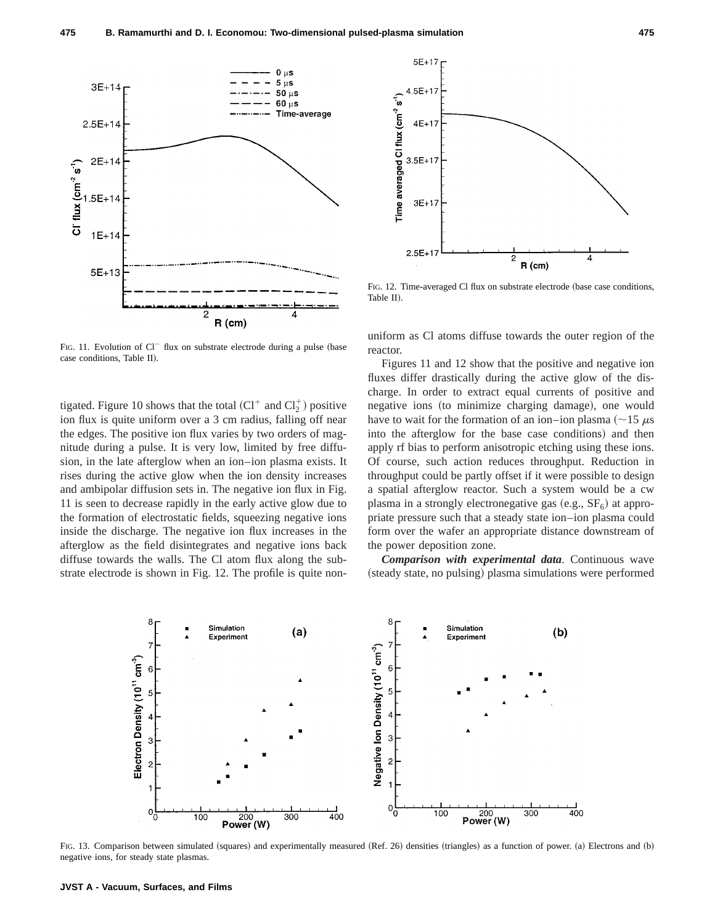

FIG. 11. Evolution of  $Cl^-$  flux on substrate electrode during a pulse (base case conditions. Table II).

tigated. Figure 10 shows that the total  $(Cl^+$  and  $Cl_2^+)$  positive ion flux is quite uniform over a 3 cm radius, falling off near the edges. The positive ion flux varies by two orders of magnitude during a pulse. It is very low, limited by free diffusion, in the late afterglow when an ion–ion plasma exists. It rises during the active glow when the ion density increases and ambipolar diffusion sets in. The negative ion flux in Fig. 11 is seen to decrease rapidly in the early active glow due to the formation of electrostatic fields, squeezing negative ions inside the discharge. The negative ion flux increases in the afterglow as the field disintegrates and negative ions back diffuse towards the walls. The Cl atom flux along the substrate electrode is shown in Fig. 12. The profile is quite non-



FIG. 12. Time-averaged Cl flux on substrate electrode (base case conditions, Table II).

uniform as Cl atoms diffuse towards the outer region of the reactor.

Figures 11 and 12 show that the positive and negative ion fluxes differ drastically during the active glow of the discharge. In order to extract equal currents of positive and negative ions (to minimize charging damage), one would have to wait for the formation of an ion–ion plasma ( $\sim$ 15  $\mu$ s into the afterglow for the base case conditions) and then apply rf bias to perform anisotropic etching using these ions. Of course, such action reduces throughput. Reduction in throughput could be partly offset if it were possible to design a spatial afterglow reactor. Such a system would be a cw plasma in a strongly electronegative gas  $(e.g., SF<sub>6</sub>)$  at appropriate pressure such that a steady state ion–ion plasma could form over the wafer an appropriate distance downstream of the power deposition zone.

*Comparison with experimental data*. Continuous wave (steady state, no pulsing) plasma simulations were performed



FIG. 13. Comparison between simulated (squares) and experimentally measured (Ref. 26) densities (triangles) as a function of power. (a) Electrons and (b) negative ions, for steady state plasmas.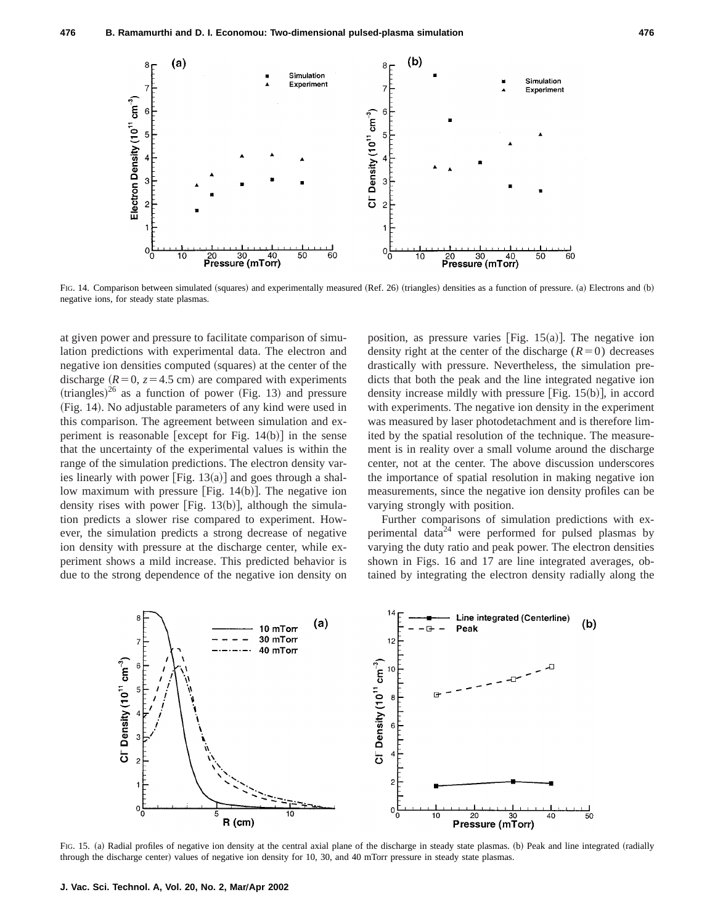

FIG. 14. Comparison between simulated (squares) and experimentally measured (Ref. 26) (triangles) densities as a function of pressure. (a) Electrons and (b) negative ions, for steady state plasmas.

at given power and pressure to facilitate comparison of simulation predictions with experimental data. The electron and negative ion densities computed (squares) at the center of the discharge  $(R=0, z=4.5 \text{ cm})$  are compared with experiments  $(triangles)<sup>26</sup>$  as a function of power (Fig. 13) and pressure (Fig. 14). No adjustable parameters of any kind were used in this comparison. The agreement between simulation and experiment is reasonable [except for Fig.  $14(b)$ ] in the sense that the uncertainty of the experimental values is within the range of the simulation predictions. The electron density varies linearly with power [Fig.  $13(a)$ ] and goes through a shallow maximum with pressure [Fig.  $14(b)$ ]. The negative ion density rises with power [Fig.  $13(b)$ ], although the simulation predicts a slower rise compared to experiment. However, the simulation predicts a strong decrease of negative ion density with pressure at the discharge center, while experiment shows a mild increase. This predicted behavior is due to the strong dependence of the negative ion density on position, as pressure varies [Fig.  $15(a)$ ]. The negative ion density right at the center of the discharge  $(R=0)$  decreases drastically with pressure. Nevertheless, the simulation predicts that both the peak and the line integrated negative ion density increase mildly with pressure  $[Fig. 15(b)],$  in accord with experiments. The negative ion density in the experiment was measured by laser photodetachment and is therefore limited by the spatial resolution of the technique. The measurement is in reality over a small volume around the discharge center, not at the center. The above discussion underscores the importance of spatial resolution in making negative ion measurements, since the negative ion density profiles can be varying strongly with position.

Further comparisons of simulation predictions with experimental data<sup>24</sup> were performed for pulsed plasmas by varying the duty ratio and peak power. The electron densities shown in Figs. 16 and 17 are line integrated averages, obtained by integrating the electron density radially along the



FIG. 15. (a) Radial profiles of negative ion density at the central axial plane of the discharge in steady state plasmas. (b) Peak and line integrated (radially through the discharge center) values of negative ion density for 10, 30, and 40 mTorr pressure in steady state plasmas.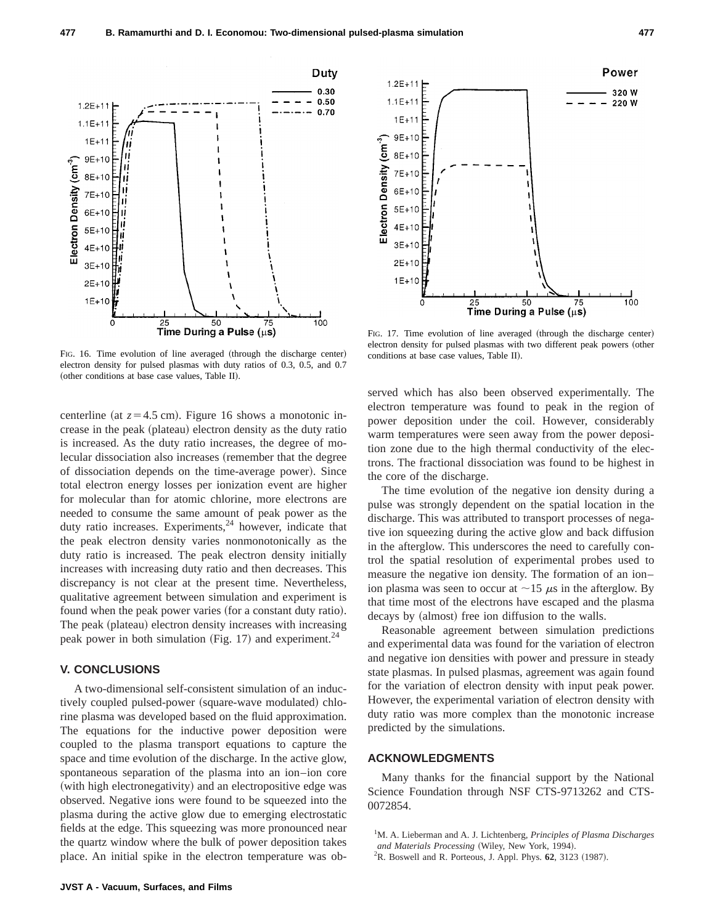

FIG. 16. Time evolution of line averaged (through the discharge center) electron density for pulsed plasmas with duty ratios of 0.3, 0.5, and 0.7 (other conditions at base case values, Table II).

centerline (at  $z=4.5$  cm). Figure 16 shows a monotonic increase in the peak (plateau) electron density as the duty ratio is increased. As the duty ratio increases, the degree of molecular dissociation also increases (remember that the degree of dissociation depends on the time-average power). Since total electron energy losses per ionization event are higher for molecular than for atomic chlorine, more electrons are needed to consume the same amount of peak power as the duty ratio increases. Experiments, $24$  however, indicate that the peak electron density varies nonmonotonically as the duty ratio is increased. The peak electron density initially increases with increasing duty ratio and then decreases. This discrepancy is not clear at the present time. Nevertheless, qualitative agreement between simulation and experiment is found when the peak power varies (for a constant duty ratio). The peak (plateau) electron density increases with increasing peak power in both simulation (Fig. 17) and experiment.<sup>24</sup>

## **V. CONCLUSIONS**

A two-dimensional self-consistent simulation of an inductively coupled pulsed-power (square-wave modulated) chlorine plasma was developed based on the fluid approximation. The equations for the inductive power deposition were coupled to the plasma transport equations to capture the space and time evolution of the discharge. In the active glow, spontaneous separation of the plasma into an ion–ion core (with high electronegativity) and an electropositive edge was observed. Negative ions were found to be squeezed into the plasma during the active glow due to emerging electrostatic fields at the edge. This squeezing was more pronounced near the quartz window where the bulk of power deposition takes place. An initial spike in the electron temperature was ob-



FIG. 17. Time evolution of line averaged (through the discharge center) electron density for pulsed plasmas with two different peak powers (other conditions at base case values. Table II.

served which has also been observed experimentally. The electron temperature was found to peak in the region of power deposition under the coil. However, considerably warm temperatures were seen away from the power deposition zone due to the high thermal conductivity of the electrons. The fractional dissociation was found to be highest in the core of the discharge.

The time evolution of the negative ion density during a pulse was strongly dependent on the spatial location in the discharge. This was attributed to transport processes of negative ion squeezing during the active glow and back diffusion in the afterglow. This underscores the need to carefully control the spatial resolution of experimental probes used to measure the negative ion density. The formation of an ion– ion plasma was seen to occur at  $\sim$ 15  $\mu$ s in the afterglow. By that time most of the electrons have escaped and the plasma decays by (almost) free ion diffusion to the walls.

Reasonable agreement between simulation predictions and experimental data was found for the variation of electron and negative ion densities with power and pressure in steady state plasmas. In pulsed plasmas, agreement was again found for the variation of electron density with input peak power. However, the experimental variation of electron density with duty ratio was more complex than the monotonic increase predicted by the simulations.

## **ACKNOWLEDGMENTS**

Many thanks for the financial support by the National Science Foundation through NSF CTS-9713262 and CTS-0072854.

<sup>&</sup>lt;sup>1</sup>M. A. Lieberman and A. J. Lichtenberg, *Principles of Plasma Discharges* and Materials Processing (Wiley, New York, 1994).

<sup>&</sup>lt;sup>2</sup>R. Boswell and R. Porteous, J. Appl. Phys. **62**, 3123 (1987).